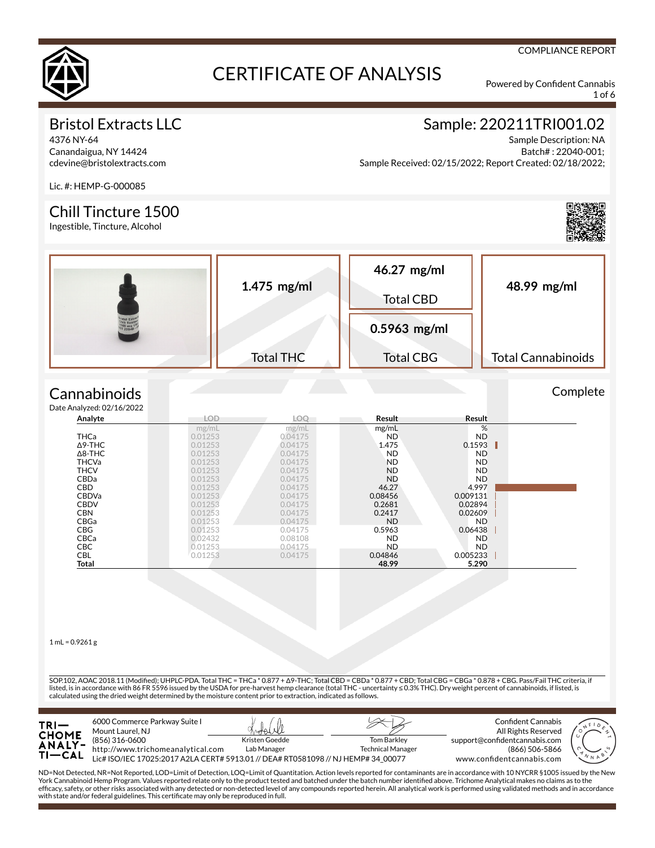

1 of 6

COMPLIANCE REPORT

### Bristol Extracts LLC

4376 NY-64 Canandaigua, NY 14424 cdevine@bristolextracts.com

### Sample: 220211TRI001.02

Sample Description: NA Batch# : 22040-001; Sample Received: 02/15/2022; Report Created: 02/18/2022;

Lic. #: HEMP-G-000085

#### Chill Tincture 1500

Ingestible, Tincture, Alcohol



Complete

| $1.475$ mg/ml    | 46.27 mg/ml<br><b>Total CBD</b> | 48.99 mg/ml               |  |
|------------------|---------------------------------|---------------------------|--|
|                  | $0.5963$ mg/ml                  |                           |  |
| <b>Total THC</b> | <b>Total CBG</b>                | <b>Total Cannabinoids</b> |  |

#### **Cannabinoids**  $Data$

| e Analyzed: 02/16/2022 |            |            |           |           |  |
|------------------------|------------|------------|-----------|-----------|--|
| Analyte                | <b>LOD</b> | <b>LOO</b> | Result    | Result    |  |
|                        | mg/mL      | mg/mL      | mg/mL     | %         |  |
| <b>THCa</b>            | 0.01253    | 0.04175    | <b>ND</b> | <b>ND</b> |  |
| $\Delta$ 9-THC         | 0.01253    | 0.04175    | 1.475     | 0.1593    |  |
| $\Delta$ 8-THC         | 0.01253    | 0.04175    | <b>ND</b> | <b>ND</b> |  |
| <b>THCVa</b>           | 0.01253    | 0.04175    | <b>ND</b> | ND.       |  |
| <b>THCV</b>            | 0.01253    | 0.04175    | <b>ND</b> | ND.       |  |
| <b>CBDa</b>            | 0.01253    | 0.04175    | <b>ND</b> | <b>ND</b> |  |
| <b>CBD</b>             | 0.01253    | 0.04175    | 46.27     | 4.997     |  |
| <b>CBDVa</b>           | 0.01253    | 0.04175    | 0.08456   | 0.009131  |  |
| <b>CBDV</b>            | 0.01253    | 0.04175    | 0.2681    | 0.02894   |  |
| <b>CBN</b>             | 0.01253    | 0.04175    | 0.2417    | 0.02609   |  |
| CBGa                   | 0.01253    | 0.04175    | <b>ND</b> | ND.       |  |
| <b>CBG</b>             | 0.01253    | 0.04175    | 0.5963    | 0.06438   |  |
| CBCa                   | 0.02432    | 0.08108    | <b>ND</b> | ND.       |  |
| <b>CBC</b>             | 0.01253    | 0.04175    | <b>ND</b> | ND.       |  |
| <b>CBL</b>             | 0.01253    | 0.04175    | 0.04846   | 0.005233  |  |
| Total                  |            |            | 48.99     | 5.290     |  |

 $1 mL = 0.9261 g$ 

SOP.102, AOAC 2018.11 (Modied); UHPLC-PDA. Total THC = THCa \* 0.877 + Δ9-THC; Total CBD = CBDa \* 0.877 + CBD; Total CBG = CBGa \* 0.878 + CBG. Pass/Fail THC criteria, if listed, is in accordance with 86 FR 5596 issued by the USDA for pre-harvest hemp clearance (total THC - uncertainty ≤ 0.3% THC). Dry weight percent of cannabinoids, if listed, is calculated using the dried weight determined by the moisture content prior to extraction, indicated as follows.



ND=Not Detected, NR=Not Reported, LOD=Limit of Detection, LOQ=Limit of Quantitation. Action levels reported for contaminants are in accordance with 10 NYCRR §1005 issued by the New<br>York Cannabinoid Hemp Program. Values rep efcacy, safety, or other risks associated with any detected or non-detected level of any compounds reported herein. All analytical work is performed using validated methods and in accordance with state and/or federal guidelines. This certificate may only be reproduced in full.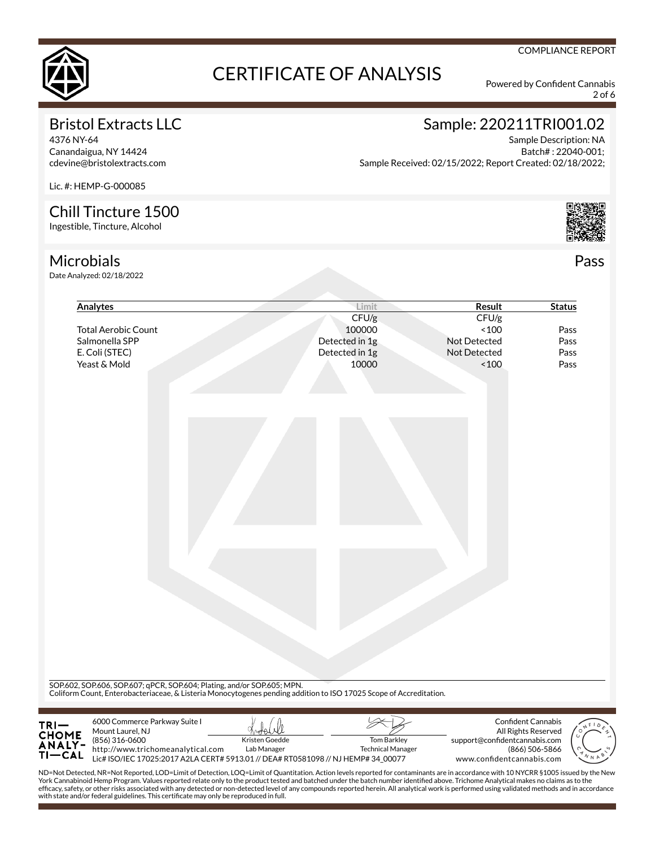

2 of 6

### Bristol Extracts LLC

4376 NY-64 Canandaigua, NY 14424 cdevine@bristolextracts.com

## Sample: 220211TRI001.02

Sample Description: NA Batch# : 22040-001; Sample Received: 02/15/2022; Report Created: 02/18/2022;

Lic. #: HEMP-G-000085

#### Chill Tincture 1500

Ingestible, Tincture, Alcohol

### **Microbials**

Date Analyzed: 02/18/2022

| Analytes                                                                     | Limit                                                                                                                                                                                         | Result                        | <b>Status</b>                             |
|------------------------------------------------------------------------------|-----------------------------------------------------------------------------------------------------------------------------------------------------------------------------------------------|-------------------------------|-------------------------------------------|
|                                                                              | CFU/g                                                                                                                                                                                         | CFU/g                         |                                           |
| <b>Total Aerobic Count</b>                                                   | 100000                                                                                                                                                                                        | ~100                          | Pass                                      |
| Salmonella SPP                                                               | Detected in 1g                                                                                                                                                                                | Not Detected                  | Pass                                      |
| E. Coli (STEC)                                                               | Detected in 1g                                                                                                                                                                                | Not Detected                  | Pass                                      |
| Yeast & Mold                                                                 | 10000                                                                                                                                                                                         | ~100                          | Pass                                      |
|                                                                              |                                                                                                                                                                                               |                               |                                           |
|                                                                              |                                                                                                                                                                                               |                               |                                           |
|                                                                              |                                                                                                                                                                                               |                               |                                           |
|                                                                              |                                                                                                                                                                                               |                               |                                           |
|                                                                              |                                                                                                                                                                                               |                               |                                           |
|                                                                              |                                                                                                                                                                                               |                               |                                           |
|                                                                              |                                                                                                                                                                                               |                               |                                           |
|                                                                              |                                                                                                                                                                                               |                               |                                           |
|                                                                              |                                                                                                                                                                                               |                               |                                           |
|                                                                              |                                                                                                                                                                                               |                               |                                           |
|                                                                              |                                                                                                                                                                                               |                               |                                           |
|                                                                              |                                                                                                                                                                                               |                               |                                           |
|                                                                              |                                                                                                                                                                                               |                               |                                           |
|                                                                              |                                                                                                                                                                                               |                               |                                           |
|                                                                              |                                                                                                                                                                                               |                               |                                           |
|                                                                              |                                                                                                                                                                                               |                               |                                           |
|                                                                              |                                                                                                                                                                                               |                               |                                           |
|                                                                              |                                                                                                                                                                                               |                               |                                           |
|                                                                              |                                                                                                                                                                                               |                               |                                           |
|                                                                              |                                                                                                                                                                                               |                               |                                           |
|                                                                              |                                                                                                                                                                                               |                               |                                           |
|                                                                              |                                                                                                                                                                                               |                               |                                           |
|                                                                              |                                                                                                                                                                                               |                               |                                           |
|                                                                              |                                                                                                                                                                                               |                               |                                           |
|                                                                              | SOP.602, SOP.606, SOP.607; qPCR, SOP.604; Plating, and/or SOP.605; MPN.<br>Coliform Count, Enterobacteriaceae, & Listeria Monocytogenes pending addition to ISO 17025 Scope of Accreditation. |                               |                                           |
|                                                                              |                                                                                                                                                                                               |                               |                                           |
| 6000 Commerce Parkway Suite I<br>TRI—<br>CHOME<br>ANALY-<br>Mount Laurel, NJ |                                                                                                                                                                                               |                               | Confident Cannabis<br>All Rights Reserved |
| (856) 316-0600                                                               | Kristen Goedde<br><b>Tom Barkley</b>                                                                                                                                                          | support@confidentcannabis.com |                                           |
| http://www.trichomeanalytical.com                                            | Lab Manager<br><b>Technical Manager</b>                                                                                                                                                       | (866) 506-5866                |                                           |

ND=Not Detected, NR=Not Reported, LOD=Limit of Detection, LOQ=Limit of Quantitation. Action levels reported for contaminants are in accordance with 10 NYCRR §1005 issued by the New<br>York Cannabinoid Hemp Program. Values rep efcacy, safety, or other risks associated with any detected or non-detected level of any compounds reported herein. All analytical work is performed using validated methods and in accordance with state and/or federal guidelines. This certificate may only be reproduced in full.



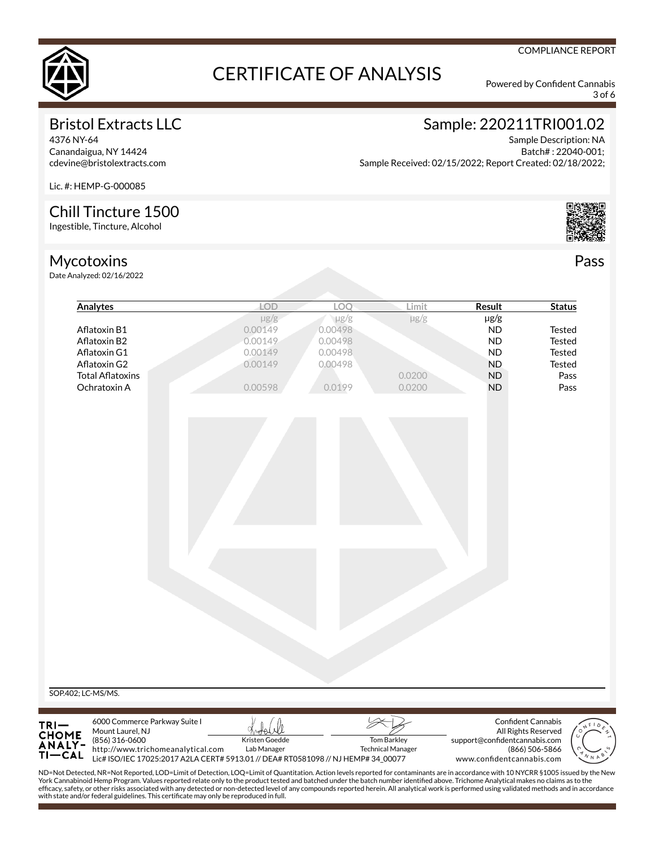

3 of 6

COMPLIANCE REPORT

### Bristol Extracts LLC

4376 NY-64 Canandaigua, NY 14424 cdevine@bristolextracts.com

# Sample: 220211TRI001.02

Sample Description: NA Batch# : 22040-001; Sample Received: 02/15/2022; Report Created: 02/18/2022;

Lic. #: HEMP-G-000085

#### Chill Tincture 1500

Ingestible, Tincture, Alcohol

### Mycotoxins

Date Analyzed: 02/16/2022



Pass

| Analytes                                                                                                                                                                                                                                                                                                                                                                                                                                                                                                                                                                                                                                                                  | <b>LOD</b>                                                                        | LOO       | Limit                    | Result                        | <b>Status</b>             |
|---------------------------------------------------------------------------------------------------------------------------------------------------------------------------------------------------------------------------------------------------------------------------------------------------------------------------------------------------------------------------------------------------------------------------------------------------------------------------------------------------------------------------------------------------------------------------------------------------------------------------------------------------------------------------|-----------------------------------------------------------------------------------|-----------|--------------------------|-------------------------------|---------------------------|
|                                                                                                                                                                                                                                                                                                                                                                                                                                                                                                                                                                                                                                                                           | $\mu$ g/g                                                                         | $\mu$ g/g | $\mu$ g/g                | $\mu$ g/g                     |                           |
| Aflatoxin B1                                                                                                                                                                                                                                                                                                                                                                                                                                                                                                                                                                                                                                                              | 0.00149                                                                           | 0.00498   |                          | <b>ND</b>                     | <b>Tested</b>             |
| Aflatoxin B2                                                                                                                                                                                                                                                                                                                                                                                                                                                                                                                                                                                                                                                              | 0.00149                                                                           | 0.00498   |                          | <b>ND</b>                     | <b>Tested</b>             |
| Aflatoxin G1                                                                                                                                                                                                                                                                                                                                                                                                                                                                                                                                                                                                                                                              | 0.00149                                                                           | 0.00498   |                          | <b>ND</b>                     | <b>Tested</b>             |
| Aflatoxin G2                                                                                                                                                                                                                                                                                                                                                                                                                                                                                                                                                                                                                                                              | 0.00149                                                                           | 0.00498   |                          | <b>ND</b>                     | <b>Tested</b>             |
| <b>Total Aflatoxins</b>                                                                                                                                                                                                                                                                                                                                                                                                                                                                                                                                                                                                                                                   |                                                                                   |           | 0.0200                   | <b>ND</b>                     | Pass                      |
| Ochratoxin A                                                                                                                                                                                                                                                                                                                                                                                                                                                                                                                                                                                                                                                              | 0.00598                                                                           | 0.0199    | 0.0200                   | <b>ND</b>                     | Pass                      |
|                                                                                                                                                                                                                                                                                                                                                                                                                                                                                                                                                                                                                                                                           |                                                                                   |           |                          |                               |                           |
| SOP.402; LC-MS/MS.<br>6000 Commerce Parkway Suite I                                                                                                                                                                                                                                                                                                                                                                                                                                                                                                                                                                                                                       |                                                                                   |           |                          |                               | <b>Confident Cannabis</b> |
| TRI-<br>CHOME<br>ANALY-<br>Mount Laurel, NJ<br>(856) 316-0600                                                                                                                                                                                                                                                                                                                                                                                                                                                                                                                                                                                                             | Kristen Goedde                                                                    |           | Tom Barkley              |                               | All Rights Reserved       |
| http://www.trichomeanalytical.com                                                                                                                                                                                                                                                                                                                                                                                                                                                                                                                                                                                                                                         | Lab Manager                                                                       |           | <b>Technical Manager</b> | support@confidentcannabis.com | (866) 506-5866            |
| TI-CAL                                                                                                                                                                                                                                                                                                                                                                                                                                                                                                                                                                                                                                                                    | Lic# ISO/IEC 17025:2017 A2LA CERT# 5913.01 // DEA# RT0581098 // NJ HEMP# 34 00077 |           |                          | www.confidentcannabis.com     |                           |
| ND=Not Detected, NR=Not Reported, LOD=Limit of Detection, LOQ=Limit of Quantitation. Action levels reported for contaminants are in accordance with 10 NYCRR §1005 issued by the New<br>York Cannabinoid Hemp Program. Values reported relate only to the product tested and batched under the batch number identified above. Trichome Analytical makes no claims as to the<br>efficacy, safety, or other risks associated with any detected or non-detected level of any compounds reported herein. All analytical work is performed using validated methods and in accordance<br>with state and/or federal guidelines. This certificate may only be reproduced in full. |                                                                                   |           |                          |                               |                           |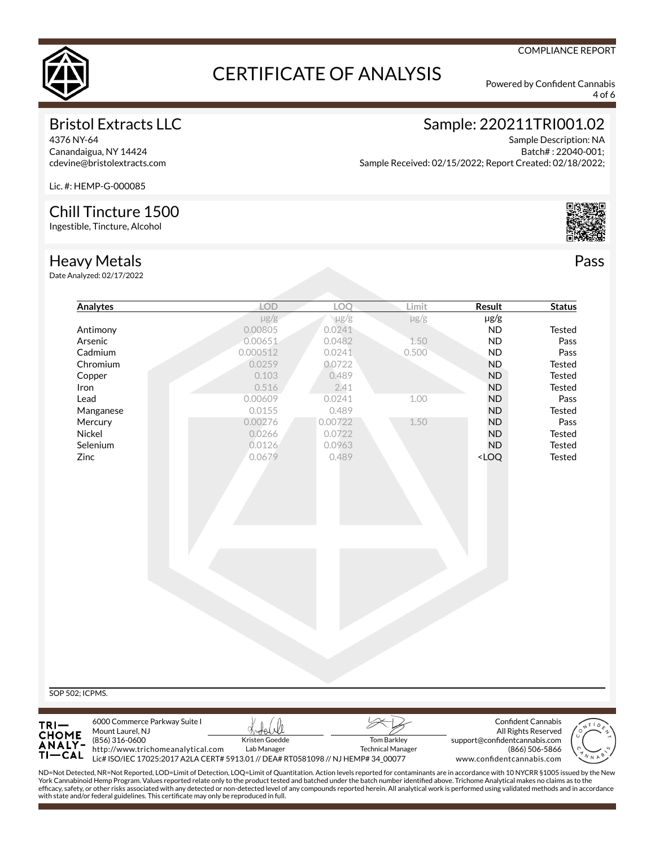

4 of 6

COMPLIANCE REPORT

#### Bristol Extracts LLC

4376 NY-64 Canandaigua, NY 14424 cdevine@bristolextracts.com

## Sample: 220211TRI001.02

support@confidentcannabis.com

www.confidentcannabis.com

(866) 506-5866

Sample Description: NA Batch# : 22040-001; Sample Received: 02/15/2022; Report Created: 02/18/2022;

Lic. #: HEMP-G-000085

#### Chill Tincture 1500

Ingestible, Tincture, Alcohol

Pass

Heavy Metals

Date Analyzed: 02/17/2022

ΤI

**ANALY-** $-$ CAL $\overline{\phantom{a}}$  (856) 316-0600

http://www.trichomeanalytical.com

| $\mu$ g/g<br>$\mu$ g/g<br>0.00805<br>0.0241<br>0.00651<br>0.0482<br>0.000512<br>0.0241<br>0.0259<br>0.0722<br>0.103<br>0.489<br>0.516<br>0.00609<br>0.0241<br>0.0155<br>0.489<br>0.00276<br>0.00722<br>0.0266<br>0.0722<br>0.0126<br>0.0963<br>0.0679<br>0.489 | $\mu$ g/g<br>1.50<br>0.500<br>2.41<br>1.00<br>1.50 | $\mu$ g/g<br><b>ND</b><br><b>ND</b><br><b>ND</b><br><b>ND</b><br>${\sf ND}$<br><b>ND</b><br><b>ND</b><br><b>ND</b><br><b>ND</b><br><b>ND</b><br><b>ND</b><br><loq< th=""><th>Tested<br/>Pass<br/>Pass<br/>Tested<br/>Tested<br/><b>Tested</b><br/>Pass<br/><b>Tested</b><br/>Pass<br/><b>Tested</b><br/>Tested<br/>Tested</th></loq<> | Tested<br>Pass<br>Pass<br>Tested<br>Tested<br><b>Tested</b><br>Pass<br><b>Tested</b><br>Pass<br><b>Tested</b><br>Tested<br>Tested |
|----------------------------------------------------------------------------------------------------------------------------------------------------------------------------------------------------------------------------------------------------------------|----------------------------------------------------|---------------------------------------------------------------------------------------------------------------------------------------------------------------------------------------------------------------------------------------------------------------------------------------------------------------------------------------|-----------------------------------------------------------------------------------------------------------------------------------|
|                                                                                                                                                                                                                                                                |                                                    |                                                                                                                                                                                                                                                                                                                                       |                                                                                                                                   |
|                                                                                                                                                                                                                                                                |                                                    |                                                                                                                                                                                                                                                                                                                                       |                                                                                                                                   |
|                                                                                                                                                                                                                                                                |                                                    |                                                                                                                                                                                                                                                                                                                                       |                                                                                                                                   |
|                                                                                                                                                                                                                                                                |                                                    |                                                                                                                                                                                                                                                                                                                                       |                                                                                                                                   |
|                                                                                                                                                                                                                                                                |                                                    |                                                                                                                                                                                                                                                                                                                                       |                                                                                                                                   |
|                                                                                                                                                                                                                                                                |                                                    |                                                                                                                                                                                                                                                                                                                                       |                                                                                                                                   |
|                                                                                                                                                                                                                                                                |                                                    |                                                                                                                                                                                                                                                                                                                                       |                                                                                                                                   |
|                                                                                                                                                                                                                                                                |                                                    |                                                                                                                                                                                                                                                                                                                                       |                                                                                                                                   |
|                                                                                                                                                                                                                                                                |                                                    |                                                                                                                                                                                                                                                                                                                                       |                                                                                                                                   |
|                                                                                                                                                                                                                                                                |                                                    |                                                                                                                                                                                                                                                                                                                                       |                                                                                                                                   |
|                                                                                                                                                                                                                                                                |                                                    |                                                                                                                                                                                                                                                                                                                                       |                                                                                                                                   |
|                                                                                                                                                                                                                                                                |                                                    |                                                                                                                                                                                                                                                                                                                                       |                                                                                                                                   |
|                                                                                                                                                                                                                                                                |                                                    |                                                                                                                                                                                                                                                                                                                                       |                                                                                                                                   |
|                                                                                                                                                                                                                                                                |                                                    |                                                                                                                                                                                                                                                                                                                                       |                                                                                                                                   |
|                                                                                                                                                                                                                                                                |                                                    |                                                                                                                                                                                                                                                                                                                                       |                                                                                                                                   |
|                                                                                                                                                                                                                                                                |                                                    |                                                                                                                                                                                                                                                                                                                                       |                                                                                                                                   |
|                                                                                                                                                                                                                                                                |                                                    |                                                                                                                                                                                                                                                                                                                                       | Confident Cannabis<br><u>bot</u> elell<br>All Rights Reserved                                                                     |

ND=Not Detected, NR=Not Reported, LOD=Limit of Detection, LOQ=Limit of Quantitation. Action levels reported for contaminants are in accordance with 10 NYCRR §1005 issued by the New<br>York Cannabinoid Hemp Program. Values rep efcacy, safety, or other risks associated with any detected or non-detected level of any compounds reported herein. All analytical work is performed using validated methods and in accordance with state and/or federal guidelines. This certificate may only be reproduced in full.

Tom Barkley Technical Manager

Lic# ISO/IEC 17025:2017 A2LA CERT# 5913.01 // DEA# RT0581098 // NJ HEMP# 34\_00077

Kristen Goedde Lab Manager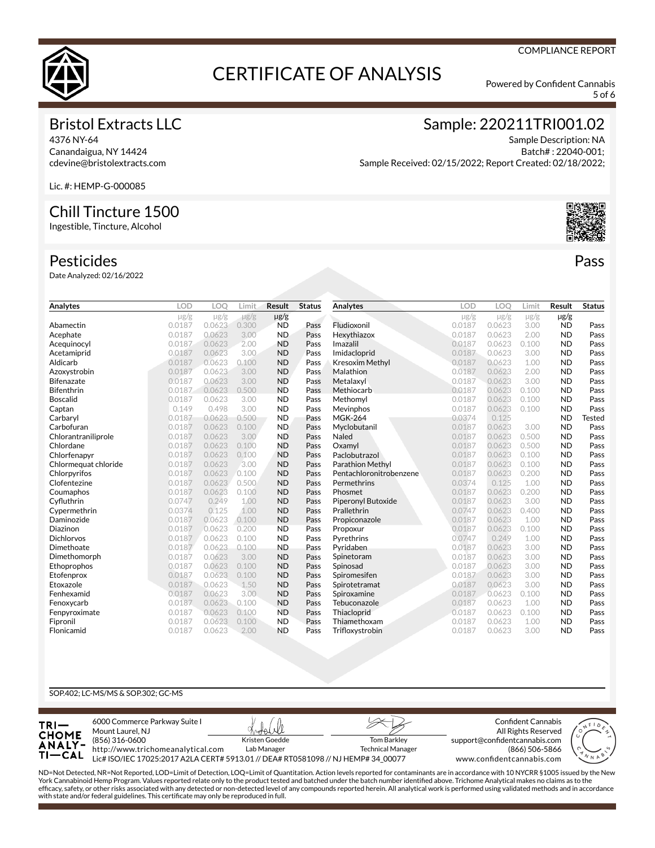

5 of 6

#### Bristol Extracts LLC

4376 NY-64 Canandaigua, NY 14424 cdevine@bristolextracts.com Sample: 220211TRI001.02

Sample Description: NA Batch# : 22040-001; Sample Received: 02/15/2022; Report Created: 02/18/2022;

Lic. #: HEMP-G-000085

#### Chill Tincture 1500

Ingestible, Tincture, Alcohol

#### Pesticides

Date Analyzed: 02/16/2022

| Analytes             | LOD       | LO <sub>O</sub> | Limit     | <b>Result</b> | <b>Status</b> | Analytes                | LOD       | LOO       | Limit     | Result    | <b>Status</b> |
|----------------------|-----------|-----------------|-----------|---------------|---------------|-------------------------|-----------|-----------|-----------|-----------|---------------|
|                      | $\mu$ g/g | $\mu$ g/g       | $\mu$ g/g | $\mu$ g/g     |               |                         | $\mu$ g/g | $\mu$ g/g | $\mu$ g/g | $\mu$ g/g |               |
| Abamectin            | 0.0187    | 0.0623          | 0.300     | <b>ND</b>     | Pass          | Fludioxonil             | 0.0187    | 0.0623    | 3.00      | <b>ND</b> | Pass          |
| Acephate             | 0.0187    | 0.0623          | 3.00      | <b>ND</b>     | Pass          | Hexythiazox             | 0.0187    | 0.0623    | 2.00      | <b>ND</b> | Pass          |
| Acequinocyl          | 0.0187    | 0.0623          | 2.00      | <b>ND</b>     | Pass          | Imazalil                | 0.0187    | 0.0623    | 0.100     | <b>ND</b> | Pass          |
| Acetamiprid          | 0.0187    | 0.0623          | 3.00      | <b>ND</b>     | Pass          | Imidacloprid            | 0.0187    | 0.0623    | 3.00      | <b>ND</b> | Pass          |
| Aldicarb             | 0.0187    | 0.0623          | 0.100     | <b>ND</b>     | Pass          | <b>Kresoxim Methyl</b>  | 0.0187    | 0.0623    | 1.00      | <b>ND</b> | Pass          |
| Azoxystrobin         | 0.0187    | 0.0623          | 3.00      | <b>ND</b>     | Pass          | Malathion               | 0.0187    | 0.0623    | 2.00      | <b>ND</b> | Pass          |
| <b>Bifenazate</b>    | 0.0187    | 0.0623          | 3.00      | <b>ND</b>     | Pass          | Metalaxyl               | 0.0187    | 0.0623    | 3.00      | <b>ND</b> | Pass          |
| Bifenthrin           | 0.0187    | 0.0623          | 0.500     | <b>ND</b>     | Pass          | Methiocarb              | 0.0187    | 0.0623    | 0.100     | <b>ND</b> | Pass          |
| <b>Boscalid</b>      | 0.0187    | 0.0623          | 3.00      | <b>ND</b>     | Pass          | Methomyl                | 0.0187    | 0.0623    | 0.100     | <b>ND</b> | Pass          |
| Captan               | 0.149     | 0.498           | 3.00      | <b>ND</b>     | Pass          | Mevinphos               | 0.0187    | 0.0623    | 0.100     | <b>ND</b> | Pass          |
| Carbaryl             | 0.0187    | 0.0623          | 0.500     | <b>ND</b>     | Pass          | <b>MGK-264</b>          | 0.0374    | 0.125     |           | <b>ND</b> | Tested        |
| Carbofuran           | 0.0187    | 0.0623          | 0.100     | <b>ND</b>     | Pass          | Myclobutanil            | 0.0187    | 0.0623    | 3.00      | <b>ND</b> | Pass          |
| Chlorantraniliprole  | 0.0187    | 0.0623          | 3.00      | <b>ND</b>     | Pass          | Naled                   | 0.0187    | 0.0623    | 0.500     | <b>ND</b> | Pass          |
| Chlordane            | 0.0187    | 0.0623          | 0.100     | <b>ND</b>     | Pass          | Oxamyl                  | 0.0187    | 0.0623    | 0.500     | <b>ND</b> | Pass          |
| Chlorfenapyr         | 0.0187    | 0.0623          | 0.100     | <b>ND</b>     | Pass          | Paclobutrazol           | 0.0187    | 0.0623    | 0.100     | <b>ND</b> | Pass          |
| Chlormeguat chloride | 0.0187    | 0.0623          | 3.00      | <b>ND</b>     | Pass          | <b>Parathion Methyl</b> | 0.0187    | 0.0623    | 0.100     | <b>ND</b> | Pass          |
| Chlorpyrifos         | 0.0187    | 0.0623          | 0.100     | <b>ND</b>     | Pass          | Pentachloronitrobenzene | 0.0187    | 0.0623    | 0.200     | <b>ND</b> | Pass          |
| Clofentezine         | 0.0187    | 0.0623          | 0.500     | <b>ND</b>     | Pass          | Permethrins             | 0.0374    | 0.125     | 1.00      | <b>ND</b> | Pass          |
| Coumaphos            | 0.0187    | 0.0623          | 0.100     | <b>ND</b>     | Pass          | Phosmet                 | 0.0187    | 0.0623    | 0.200     | <b>ND</b> | Pass          |
| Cyfluthrin           | 0.0747    | 0.249           | 1.00      | <b>ND</b>     | Pass          | Piperonyl Butoxide      | 0.0187    | 0.0623    | 3.00      | <b>ND</b> | Pass          |
| Cypermethrin         | 0.0374    | 0.125           | 1.00      | <b>ND</b>     | Pass          | Prallethrin             | 0.0747    | 0.0623    | 0.400     | <b>ND</b> | Pass          |
| Daminozide           | 0.0187    | 0.0623          | 0.100     | <b>ND</b>     | Pass          | Propiconazole           | 0.0187    | 0.0623    | 1.00      | <b>ND</b> | Pass          |
| Diazinon             | 0.0187    | 0.0623          | 0.200     | <b>ND</b>     | Pass          | Propoxur                | 0.0187    | 0.0623    | 0.100     | <b>ND</b> | Pass          |
| <b>Dichlorvos</b>    | 0.0187    | 0.0623          | 0.100     | <b>ND</b>     | Pass          | Pyrethrins              | 0.0747    | 0.249     | 1.00      | <b>ND</b> | Pass          |
| Dimethoate           | 0.0187    | 0.0623          | 0.100     | <b>ND</b>     | Pass          | Pyridaben               | 0.0187    | 0.0623    | 3.00      | <b>ND</b> | Pass          |
| Dimethomorph         | 0.0187    | 0.0623          | 3.00      | <b>ND</b>     | Pass          | Spinetoram              | 0.0187    | 0.0623    | 3.00      | <b>ND</b> | Pass          |
| Ethoprophos          | 0.0187    | 0.0623          | 0.100     | <b>ND</b>     | Pass          | Spinosad                | 0.0187    | 0.0623    | 3.00      | <b>ND</b> | Pass          |
| Etofenprox           | 0.0187    | 0.0623          | 0.100     | <b>ND</b>     | Pass          | Spiromesifen            | 0.0187    | 0.0623    | 3.00      | <b>ND</b> | Pass          |
| Etoxazole            | 0.0187    | 0.0623          | 1.50      | <b>ND</b>     | Pass          | Spirotetramat           | 0.0187    | 0.0623    | 3.00      | <b>ND</b> | Pass          |
| Fenhexamid           | 0.0187    | 0.0623          | 3.00      | <b>ND</b>     | Pass          | Spiroxamine             | 0.0187    | 0.0623    | 0.100     | <b>ND</b> | Pass          |
| Fenoxycarb           | 0.0187    | 0.0623          | 0.100     | <b>ND</b>     | Pass          | Tebuconazole            | 0.0187    | 0.0623    | 1.00      | <b>ND</b> | Pass          |
| Fenpyroximate        | 0.0187    | 0.0623          | 0.100     | <b>ND</b>     | Pass          | Thiacloprid             | 0.0187    | 0.0623    | 0.100     | <b>ND</b> | Pass          |
| Fipronil             | 0.0187    | 0.0623          | 0.100     | <b>ND</b>     | Pass          | Thiamethoxam            | 0.0187    | 0.0623    | 1.00      | <b>ND</b> | Pass          |
| Flonicamid           | 0.0187    | 0.0623          | 2.00      | <b>ND</b>     | Pass          | Trifloxystrobin         | 0.0187    | 0.0623    | 3.00      | <b>ND</b> | Pass          |

#### SOP.402; LC-MS/MS & SOP.302; GC-MS



ND=Not Detected, NR=Not Reported, LOD=Limit of Detection, LOQ=Limit of Quantitation. Action levels reported for contaminants are in accordance with 10 NYCRR §1005 issued by the New<br>York Cannabinoid Hemp Program. Values rep efcacy, safety, or other risks associated with any detected or non-detected level of any compounds reported herein. All analytical work is performed using validated methods and in accordance with state and/or federal guidelines. This certificate may only be reproduced in full.



Pass

#### COMPLIANCE REPORT